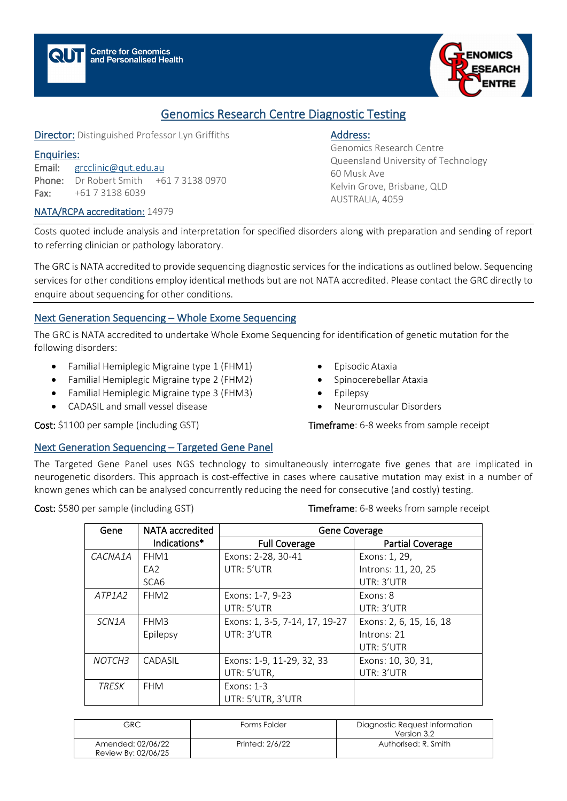

# Genomics Research Centre Diagnostic Testing

Director: Distinguished Professor Lyn Griffiths

#### Enquiries:

Email: [grcclinic@qut.edu.au](mailto:gctcentre@qut.edu.au) Phone: Dr Robert Smith +61 7 3138 0970 Fax: +61 7 3138 6039

#### NATA/RCPA accreditation: 14979

## Address:

Genomics Research Centre Queensland University of Technology 60 Musk Ave Kelvin Grove, Brisbane, QLD AUSTRALIA, 4059

Costs quoted include analysis and interpretation for specified disorders along with preparation and sending of report to referring clinician or pathology laboratory.

The GRC is NATA accredited to provide sequencing diagnostic services for the indications as outlined below. Sequencing services for other conditions employ identical methods but are not NATA accredited. Please contact the GRC directly to enquire about sequencing for other conditions.

## Next Generation Sequencing – Whole Exome Sequencing

The GRC is NATA accredited to undertake Whole Exome Sequencing for identification of genetic mutation for the following disorders:

- Familial Hemiplegic Migraine type 1 (FHM1)
- Familial Hemiplegic Migraine type 2 (FHM2)
- Familial Hemiplegic Migraine type 3 (FHM3)
- CADASIL and small vessel disease
- Episodic Ataxia
- Spinocerebellar Ataxia
- Epilepsy
- Neuromuscular Disorders

Cost: \$1100 per sample (including GST) Timeframe: 6-8 weeks from sample receipt

## Next Generation Sequencing – Targeted Gene Panel

The Targeted Gene Panel uses NGS technology to simultaneously interrogate five genes that are implicated in neurogenetic disorders. This approach is cost-effective in cases where causative mutation may exist in a number of known genes which can be analysed concurrently reducing the need for consecutive (and costly) testing.

Cost: \$580 per sample (including GST) Timeframe: 6-8 weeks from sample receipt

| Gene               | <b>NATA</b> accredited | Gene Coverage                  |                         |
|--------------------|------------------------|--------------------------------|-------------------------|
|                    | Indications*           | <b>Full Coverage</b>           | <b>Partial Coverage</b> |
| CACNA1A            | FHM1                   | Exons: 2-28, 30-41             | Exons: 1, 29,           |
|                    | EA <sub>2</sub>        | UTR: 5'UTR                     | Introns: 11, 20, 25     |
|                    | SCA <sub>6</sub>       |                                | UTR: 3'UTR              |
| ATP1A2             | FHM <sub>2</sub>       | Exons: 1-7, 9-23               | Exons: 8                |
|                    |                        | UTR: 5'UTR                     | UTR: 3'UTR              |
| SCN <sub>1</sub> A | FHM3                   | Exons: 1, 3-5, 7-14, 17, 19-27 | Exons: 2, 6, 15, 16, 18 |
|                    | Epilepsy               | UTR: 3'UTR                     | Introns: 21             |
|                    |                        |                                | UTR: 5'UTR              |
| NOTCH <sub>3</sub> | CADASIL                | Exons: 1-9, 11-29, 32, 33      | Exons: 10, 30, 31,      |
|                    |                        | UTR: 5'UTR,                    | UTR: 3'UTR              |
| <b>TRESK</b>       | <b>FHM</b>             | Exons: 1-3                     |                         |
|                    |                        | UTR: 5'UTR, 3'UTR              |                         |

| GRC.                                     | Forms Folder    | Diagnostic Request Information<br>Version 3.2 |
|------------------------------------------|-----------------|-----------------------------------------------|
| Amended: 02/06/22<br>Review By: 02/06/25 | Printed: 2/6/22 | Authorised: R. Smith                          |